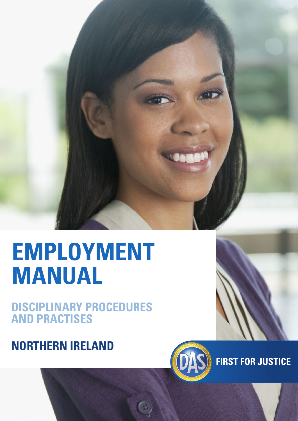# **EMPLOYMENT MANUAL**

## **DISCIPLINARY PROCEDURES AND PRACTISES**

## **NORTHERN IRELAND**



**FIRST FOR JUSTICE**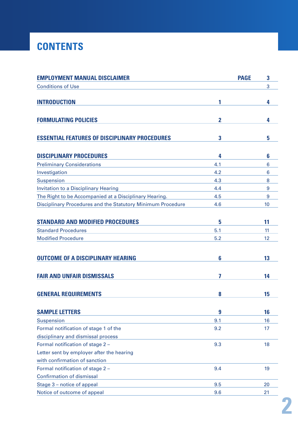## **CONTENTS**

| <b>EMPLOYMENT MANUAL DISCLAIMER</b>                         |              | <b>PAGE</b> | 3  |
|-------------------------------------------------------------|--------------|-------------|----|
| <b>Conditions of Use</b>                                    |              |             | 3  |
| <b>INTRODUCTION</b>                                         | 1            |             | 4  |
| <b>FORMULATING POLICIES</b>                                 | $\mathbf{2}$ |             | 4  |
| <b>ESSENTIAL FEATURES OF DISCIPLINARY PROCEDURES</b>        | 3            |             | 5  |
| <b>DISCIPLINARY PROCEDURES</b>                              | 4            |             | 6  |
| <b>Preliminary Considerations</b>                           | 4.1          |             | 6  |
| Investigation                                               | 4.2          |             | 6  |
| Suspension                                                  | 4.3          |             | 8  |
| <b>Invitation to a Disciplinary Hearing</b>                 | 4.4          |             | 9  |
| The Right to be Accompanied at a Disciplinary Hearing.      | 4.5          |             | 9  |
| Disciplinary Procedures and the Statutory Minimum Procedure | 4.6          |             | 10 |
| <b>STANDARD AND MODIFIED PROCEDURES</b>                     | 5            |             | 11 |
| <b>Standard Procedures</b>                                  | 5.1          |             | 11 |
| <b>Modified Procedure</b>                                   | 5.2          |             | 12 |
| <b>OUTCOME OF A DISCIPLINARY HEARING</b>                    | 6            |             | 13 |
|                                                             |              |             |    |
| <b>FAIR AND UNFAIR DISMISSALS</b>                           | 7            |             | 14 |
| <b>GENERAL REQUIREMENTS</b>                                 | 8            |             | 15 |
| <b>SAMPLE LETTERS</b>                                       | 9            |             | 16 |
| <b>Suspension</b>                                           | 9.1          |             | 16 |
| Formal notification of stage 1 of the                       | 9.2          |             | 17 |
| disciplinary and dismissal process                          |              |             |    |
| Formal notification of stage 2 -                            | 9.3          |             | 18 |
| Letter sent by employer after the hearing                   |              |             |    |
| with confirmation of sanction                               |              |             |    |
| Formal notification of stage 2 -                            | 9.4          |             | 19 |
| <b>Confirmation of dismissal</b>                            |              |             |    |
| Stage 3 - notice of appeal                                  | 9.5          |             | 20 |
| Notice of outcome of appeal                                 | 9.6          |             | 21 |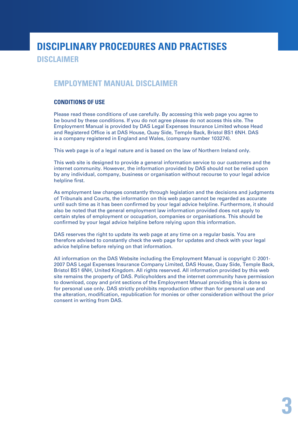### **DISCIPLINARY PROCEDURES AND PRACTISES DISCLAIMER**

#### **EMPLOYMENT MANUAL DISCLAIMER**

#### **CONDITIONS OF USE**

Please read these conditions of use carefully. By accessing this web page you agree to be bound by these conditions. If you do not agree please do not access this site. The Employment Manual is provided by DAS Legal Expenses Insurance Limited whose Head and Registered Office is at DAS House, Quay Side, Temple Back, Bristol BS1 6NH. DAS is a company registered in England and Wales, (company number 103274).

This web page is of a legal nature and is based on the law of Northern Ireland only.

This web site is designed to provide a general information service to our customers and the internet community. However, the information provided by DAS should not be relied upon by any individual, company, business or organisation without recourse to your legal advice helpline first.

As employment law changes constantly through legislation and the decisions and judgments of Tribunals and Courts, the information on this web page cannot be regarded as accurate until such time as it has been confirmed by your legal advice helpline. Furthermore, it should also be noted that the general employment law information provided does not apply to certain styles of employment or occupation, companies or organisations. This should be confirmed by your legal advice helpline before relying upon this information.

DAS reserves the right to update its web page at any time on a regular basis. You are therefore advised to constantly check the web page for updates and check with your legal advice helpline before relying on that information.

All information on the DAS Website including the Employment Manual is copyright © 2001- 2007 DAS Legal Expenses Insurance Company Limited, DAS House, Quay Side, Temple Back, Bristol BS1 6NH, United Kingdom. All rights reserved. All information provided by this web site remains the property of DAS. Policyholders and the internet community have permission to download, copy and print sections of the Employment Manual providing this is done so for personal use only. DAS strictly prohibits reproduction other than for personal use and the alteration, modification, republication for monies or other consideration without the prior consent in writing from DAS.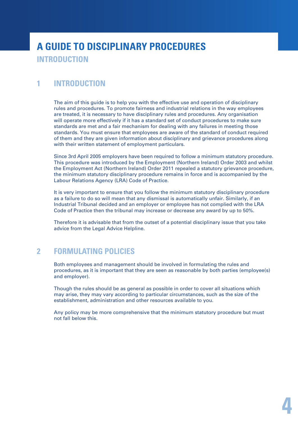## **A GUIDE TO DISCIPLINARY PROCEDURES INTRODUCTION**

### **1 INTRODUCTION**

The aim of this guide is to help you with the effective use and operation of disciplinary rules and procedures. To promote fairness and industrial relations in the way employees are treated, it is necessary to have disciplinary rules and procedures. Any organisation will operate more effectively if it has a standard set of conduct procedures to make sure standards are met and a fair mechanism for dealing with any failures in meeting those standards. You must ensure that employees are aware of the standard of conduct required of them and they are given information about disciplinary and grievance procedures along with their written statement of employment particulars.

Since 3rd April 2005 employers have been required to follow a minimum statutory procedure. This procedure was introduced by the Employment (Northern Ireland) Order 2003 and whilst the Employment Act (Northern Ireland) Order 2011 repealed a statutory grievance procedure, the minimum statutory disciplinary procedure remains in force and is accompanied by the Labour Relations Agency (LRA) Code of Practice.

It is very important to ensure that you follow the minimum statutory disciplinary procedure as a failure to do so will mean that any dismissal is automatically unfair. Similarly, if an Industrial Tribunal decided and an employer or employee has not complied with the LRA Code of Practice then the tribunal may increase or decrease any award by up to 50%.

Therefore it is advisable that from the outset of a potential disciplinary issue that you take advice from the Legal Advice Helpline.

#### **2 FORMULATING POLICIES**

Both employees and management should be involved in formulating the rules and procedures, as it is important that they are seen as reasonable by both parties (employee(s) and employer).

Though the rules should be as general as possible in order to cover all situations which may arise, they may vary according to particular circumstances, such as the size of the establishment, administration and other resources available to you.

Any policy may be more comprehensive that the minimum statutory procedure but must not fall below this.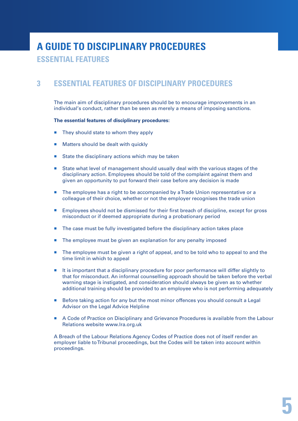**ESSENTIAL FEATURES**

### **3 ESSENTIAL FEATURES OF DISCIPLINARY PROCEDURES**

The main aim of disciplinary procedures should be to encourage improvements in an individual's conduct, rather than be seen as merely a means of imposing sanctions.

#### **The essential features of disciplinary procedures:**

- $\blacksquare$  They should state to whom they apply
- Matters should be dealt with quickly
- State the disciplinary actions which may be taken
- State what level of management should usually deal with the various stages of the disciplinary action. Employees should be told of the complaint against them and given an opportunity to put forward their case before any decision is made
- The employee has a right to be accompanied by a Trade Union representative or a colleague of their choice, whether or not the employer recognises the trade union
- **Employees should not be dismissed for their first breach of discipline, except for gross** misconduct or if deemed appropriate during a probationary period
- **The case must be fully investigated before the disciplinary action takes place**
- The employee must be given an explanation for any penalty imposed
- The employee must be given a right of appeal, and to be told who to appeal to and the time limit in which to appeal
- It is important that a disciplinary procedure for poor performance will differ slightly to that for misconduct. An informal counselling approach should be taken before the verbal warning stage is instigated, and consideration should always be given as to whether additional training should be provided to an employee who is not performing adequately
- Before taking action for any but the most minor offences you should consult a Legal Advisor on the Legal Advice Helpline
- A Code of Practice on Disciplinary and Grievance Procedures is available from the Labour Relations website www.lra.org.uk

A Breach of the Labour Relations Agency Codes of Practice does not of itself render an employer liable to Tribunal proceedings, but the Codes will be taken into account within proceedings.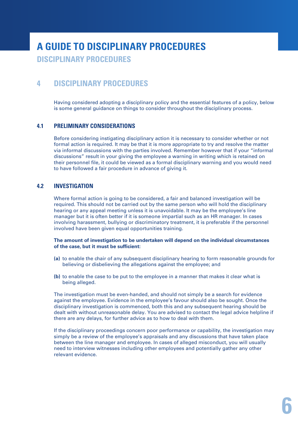**DISCIPLINARY PROCEDURES**

### **4 DISCIPLINARY PROCEDURES**

Having considered adopting a disciplinary policy and the essential features of a policy, below is some general guidance on things to consider throughout the disciplinary process.

#### **4.1 PRELIMINARY CONSIDERATIONS**

Before considering instigating disciplinary action it is necessary to consider whether or not formal action is required. It may be that it is more appropriate to try and resolve the matter via informal discussions with the parties involved. Remember however that if your "informal discussions" result in your giving the employee a warning in writing which is retained on their personnel file, it could be viewed as a formal disciplinary warning and you would need to have followed a fair procedure in advance of giving it.

#### **4.2 INVESTIGATION**

Where formal action is going to be considered, a fair and balanced investigation will be required. This should not be carried out by the same person who will hold the disciplinary hearing or any appeal meeting unless it is unavoidable. It may be the employee's line manager but it is often better if it is someone impartial such as an HR manager. In cases involving harassment, bullying or discriminatory treatment, it is preferable if the personnel involved have been given equal opportunities training.

#### **The amount of investigation to be undertaken will depend on the individual circumstances of the case, but it must be sufficient:**

- **(a)** to enable the chair of any subsequent disciplinary hearing to form reasonable grounds for believing or disbelieving the allegations against the employee; and
- **(b)** to enable the case to be put to the employee in a manner that makes it clear what is being alleged.

The investigation must be even-handed, and should not simply be a search for evidence against the employee. Evidence in the employee's favour should also be sought. Once the disciplinary investigation is commenced, both this and any subsequent hearing should be dealt with without unreasonable delay. You are advised to contact the legal advice helpline if there are any delays, for further advice as to how to deal with them.

If the disciplinary proceedings concern poor performance or capability, the investigation may simply be a review of the employee's appraisals and any discussions that have taken place between the line manager and employee. In cases of alleged misconduct, you will usually need to interview witnesses including other employees and potentially gather any other relevant evidence.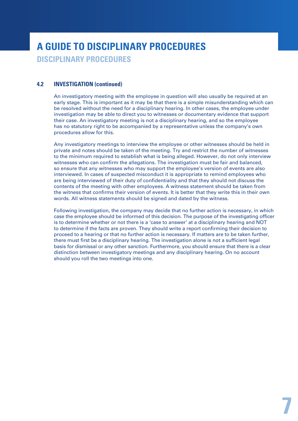### **A GUIDE TO DISCIPLINARY PROCEDURES DISCIPLINARY PROCEDURES**

#### **4.2 INVESTIGATION (continued)**

An investigatory meeting with the employee in question will also usually be required at an early stage. This is important as it may be that there is a simple misunderstanding which can be resolved without the need for a disciplinary hearing. In other cases, the employee under investigation may be able to direct you to witnesses or documentary evidence that support their case. An investigatory meeting is not a disciplinary hearing, and so the employee has no statutory right to be accompanied by a representative unless the company's own procedures allow for this.

Any investigatory meetings to interview the employee or other witnesses should be held in private and notes should be taken of the meeting. Try and restrict the number of witnesses to the minimum required to establish what is being alleged. However, do not only interview witnesses who can confirm the allegations. The investigation must be fair and balanced, so ensure that any witnesses who may support the employee's version of events are also interviewed. In cases of suspected misconduct it is appropriate to remind employees who are being interviewed of their duty of confidentiality and that they should not discuss the contents of the meeting with other employees. A witness statement should be taken from the witness that confirms their version of events. It is better that they write this in their own words. All witness statements should be signed and dated by the witness.

Following investigation, the company may decide that no further action is necessary, in which case the employee should be informed of this decision. The purpose of the investigating officer is to determine whether or not there is a 'case to answer' at a disciplinary hearing and NOT to determine if the facts are proven. They should write a report confirming their decision to proceed to a hearing or that no further action is necessary. If matters are to be taken further, there must first be a disciplinary hearing. The investigation alone is not a sufficient legal basis for dismissal or any other sanction. Furthermore, you should ensure that there is a clear distinction between investigatory meetings and any disciplinary hearing. On no account should you roll the two meetings into one.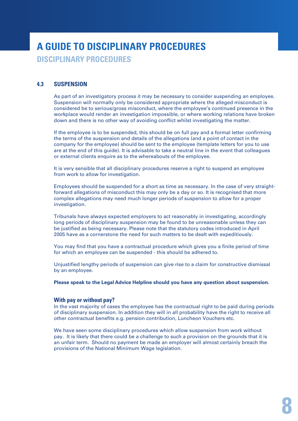**DISCIPLINARY PROCEDURES**

#### **4.3 SUSPENSION**

As part of an investigatory process it may be necessary to consider suspending an employee. Suspension will normally only be considered appropriate where the alleged misconduct is considered be to serious/gross misconduct, where the employee's continued presence in the workplace would render an investigation impossible, or where working relations have broken down and there is no other way of avoiding conflict whilst investigating the matter.

If the employee is to be suspended, this should be on full pay and a formal letter confirming the terms of the suspension and details of the allegations (and a point of contact in the company for the employee) should be sent to the employee (template letters for you to use are at the end of this guide). It is advisable to take a neutral line in the event that colleagues or external clients enquire as to the whereabouts of the employee.

It is very sensible that all disciplinary procedures reserve a right to suspend an employee from work to allow for investigation.

Employees should be suspended for a short as time as necessary. In the case of very straightforward allegations of misconduct this may only be a day or so. It is recognised that more complex allegations may need much longer periods of suspension to allow for a proper investigation.

Tribunals have always expected employers to act reasonably in investigating, accordingly long periods of disciplinary suspension may be found to be unreasonable unless they can be justified as being necessary. Please note that the statutory codes introduced in April 2005 have as a cornerstone the need for such matters to be dealt with expeditiously.

You may find that you have a contractual procedure which gives you a finite period of time for which an employee can be suspended - this should be adhered to.

Unjustified lengthy periods of suspension can give rise to a claim for constructive dismissal by an employee.

**Please speak to the Legal Advice Helpline should you have any question about suspension.**

#### **With pay or without pay?**

In the vast majority of cases the employee has the contractual right to be paid during periods of disciplinary suspension. In addition they will in all probability have the right to receive all other contractual benefits e.g. pension contribution, Luncheon Vouchers etc.

We have seen some disciplinary procedures which allow suspension from work without pay. It is likely that there could be a challenge to such a provision on the grounds that it is an unfair term. Should no payment be made an employer will almost certainly breach the provisions of the National Minimum Wage legislation.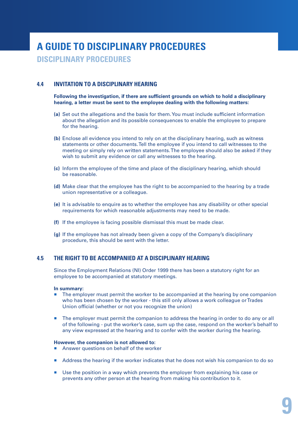**DISCIPLINARY PROCEDURES**

#### **4.4 INVITATION TO A DISCIPLINARY HEARING**

**Following the investigation, if there are sufficient grounds on which to hold a disciplinary hearing, a letter must be sent to the employee dealing with the following matters:**

- **(a)** Set out the allegations and the basis for them. You must include sufficient information about the allegation and its possible consequences to enable the employee to prepare for the hearing.
- **(b)** Enclose all evidence you intend to rely on at the disciplinary hearing, such as witness statements or other documents. Tell the employee if you intend to call witnesses to the meeting or simply rely on written statements. The employee should also be asked if they wish to submit any evidence or call any witnesses to the hearing.
- **(c)** Inform the employee of the time and place of the disciplinary hearing, which should be reasonable.
- **(d)** Make clear that the employee has the right to be accompanied to the hearing by a trade union representative or a colleague.
- **(e)** It is advisable to enquire as to whether the employee has any disability or other special requirements for which reasonable adjustments may need to be made.
- **(f)** If the employee is facing possible dismissal this must be made clear.
- **(g)** If the employee has not already been given a copy of the Company's disciplinary procedure, this should be sent with the letter.

#### **4.5 THE RIGHT TO BE ACCOMPANIED AT A DISCIPLINARY HEARING**

Since the Employment Relations (NI) Order 1999 there has been a statutory right for an employee to be accompanied at statutory meetings.

#### **In summary:**

- **The employer must permit the worker to be accompanied at the hearing by one companion** who has been chosen by the worker - this still only allows a work colleague or Trades Union official (whether or not you recognize the union)
- The employer must permit the companion to address the hearing in order to do any or all of the following - put the worker's case, sum up the case, respond on the worker's behalf to any view expressed at the hearing and to confer with the worker during the hearing.

#### **However, the companion is not allowed to:**

- Answer questions on behalf of the worker
- Address the hearing if the worker indicates that he does not wish his companion to do so
- Use the position in a way which prevents the employer from explaining his case or prevents any other person at the hearing from making his contribution to it.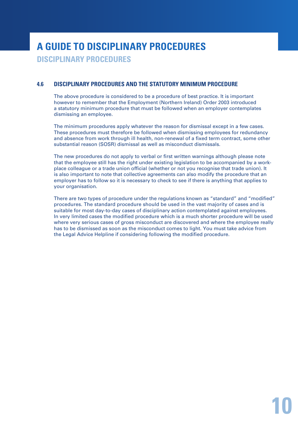**DISCIPLINARY PROCEDURES**

#### **4.6 DISCIPLINARY PROCEDURES AND THE STATUTORY MINIMUM PROCEDURE**

The above procedure is considered to be a procedure of best practice. It is important however to remember that the Employment (Northern Ireland) Order 2003 introduced a statutory minimum procedure that must be followed when an employer contemplates dismissing an employee.

The minimum procedures apply whatever the reason for dismissal except in a few cases. These procedures must therefore be followed when dismissing employees for redundancy and absence from work through ill health, non-renewal of a fixed term contract, some other substantial reason (SOSR) dismissal as well as misconduct dismissals.

The new procedures do not apply to verbal or first written warnings although please note that the employee still has the right under existing legislation to be accompanied by a workplace colleague or a trade union official (whether or not you recognise that trade union). It is also important to note that collective agreements can also modify the procedure that an employer has to follow so it is necessary to check to see if there is anything that applies to your organisation.

There are two types of procedure under the regulations known as "standard" and "modified" procedures. The standard procedure should be used in the vast majority of cases and is suitable for most day-to-day cases of disciplinary action contemplated against employees. In very limited cases the modified procedure which is a much shorter procedure will be used where very serious cases of gross misconduct are discovered and where the employee really has to be dismissed as soon as the misconduct comes to light. You must take advice from the Legal Advice Helpline if considering following the modified procedure.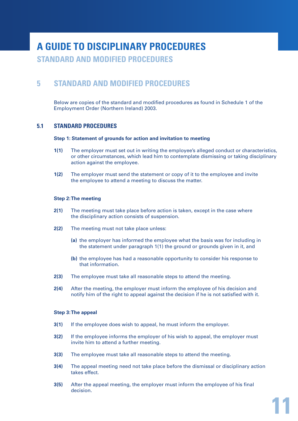**STANDARD AND MODIFIED PROCEDURES**

#### **5 STANDARD AND MODIFIED PROCEDURES**

Below are copies of the standard and modified procedures as found in Schedule 1 of the Employment Order (Northern Ireland) 2003.

#### **5.1 STANDARD PROCEDURES**

#### **Step 1: Statement of grounds for action and invitation to meeting**

- **1(1)** The employer must set out in writing the employee's alleged conduct or characteristics, or other circumstances, which lead him to contemplate dismissing or taking disciplinary action against the employee.
- **1(2)** The employer must send the statement or copy of it to the employee and invite the employee to attend a meeting to discuss the matter.

#### **Step 2:The meeting**

- **2(1)** The meeting must take place before action is taken, except in the case where the disciplinary action consists of suspension.
- **2(2)** The meeting must not take place unless:
	- **(a)** the employer has informed the employee what the basis was for including in the statement under paragraph 1(1) the ground or grounds given in it, and
	- **(b)** the employee has had a reasonable opportunity to consider his response to that information.
- **2(3)** The employee must take all reasonable steps to attend the meeting.
- **2(4)** After the meeting, the employer must inform the employee of his decision and notify him of the right to appeal against the decision if he is not satisfied with it.

#### **Step 3:The appeal**

- **3(1)** If the employee does wish to appeal, he must inform the employer.
- **3(2)** If the employee informs the employer of his wish to appeal, the employer must invite him to attend a further meeting.
- **3(3)** The employee must take all reasonable steps to attend the meeting.
- **3(4)** The appeal meeting need not take place before the dismissal or disciplinary action takes effect.
- **3(5)** After the appeal meeting, the employer must inform the employee of his final decision.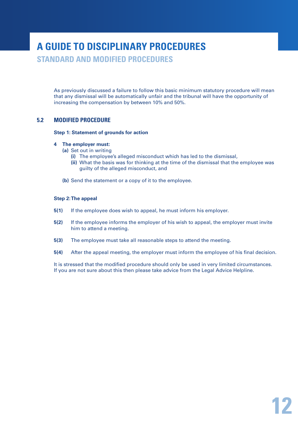**STANDARD AND MODIFIED PROCEDURES**

As previously discussed a failure to follow this basic minimum statutory procedure will mean that any dismissal will be automatically unfair and the tribunal will have the opportunity of increasing the compensation by between 10% and 50%.

#### **5.2 MODIFIED PROCEDURE**

#### **Step 1: Statement of grounds for action**

#### **4 The employer must:**

- **(a)** Set out in writing
	- **(i)** The employee's alleged misconduct which has led to the dismissal,
	- **(ii)** What the basis was for thinking at the time of the dismissal that the employee was guilty of the alleged misconduct, and
- **(b)** Send the statement or a copy of it to the employee.

#### **Step 2: The appeal**

- **5(1)** If the employee does wish to appeal, he must inform his employer.
- **5(2)** If the employee informs the employer of his wish to appeal, the employer must invite him to attend a meeting.
- **5(3)** The employee must take all reasonable steps to attend the meeting.
- **5(4)** After the appeal meeting, the employer must inform the employee of his final decision.

It is stressed that the modified procedure should only be used in very limited circumstances. If you are not sure about this then please take advice from the Legal Advice Helpline.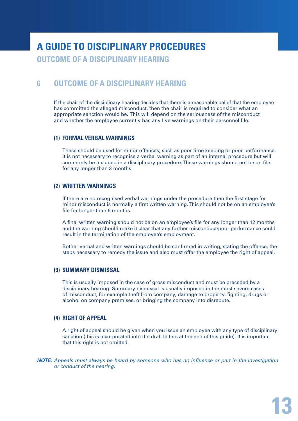### **A GUIDE TO DISCIPLINARY PROCEDURES OUTCOME OF A DISCIPLINARY HEARING**

#### **6 OUTCOME OF A DISCIPLINARY HEARING**

If the chair of the disciplinary hearing decides that there is a reasonable belief that the employee has committed the alleged misconduct, then the chair is required to consider what an appropriate sanction would be. This will depend on the seriousness of the misconduct and whether the employee currently has any live warnings on their personnel file.

#### **(1) FORMAL VERBAL WARNINGS**

These should be used for minor offences, such as poor time keeping or poor performance. It is not necessary to recognise a verbal warning as part of an internal procedure but will commonly be included in a disciplinary procedure. These warnings should not be on file for any longer than 3 months.

#### **(2) WRITTEN WARNINGS**

If there are no recognised verbal warnings under the procedure then the first stage for minor misconduct is normally a first written warning. This should not be on an employee's file for longer than 6 months.

A final written warning should not be on an employee's file for any longer than 12 months and the warning should make it clear that any further misconduct/poor performance could result in the termination of the employee's employment.

Bother verbal and written warnings should be confirmed in writing, stating the offence, the steps necessary to remedy the issue and also must offer the employee the right of appeal.

#### **(3) SUMMARY DISMISSAL**

This is usually imposed in the case of gross misconduct and must be preceded by a disciplinary hearing. Summary dismissal is usually imposed in the most severe cases of misconduct, for example theft from company, damage to property, fighting, drugs or alcohol on company premises, or bringing the company into disrepute.

#### **(4) RIGHT OF APPEAL**

A right of appeal should be given when you issue an employee with any type of disciplinary sanction (this is incorporated into the draft letters at the end of this guide). It is important that this right is not omitted.

*NOTE: Appeals must always be heard by someone who has no influence or part in the investigation or conduct of the hearing.*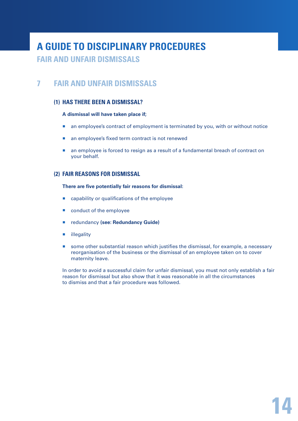#### **FAIR AND UNFAIR DISMISSALS**

### **7 FAIR AND UNFAIR DISMISSALS**

#### **(1) HAS THERE BEEN A DISMISSAL?**

#### **A dismissal will have taken place if;**

- **a** an employee's contract of employment is terminated by you, with or without notice
- an employee's fixed term contract is not renewed
- **a** an employee is forced to resign as a result of a fundamental breach of contract on your behalf.

#### **(2) FAIR REASONS FOR DISMISSAL**

#### **There are five potentially fair reasons for dismissal:**

- capability or qualifications of the employee
- conduct of the employee
- redundancy (see: Redundancy Guide)
- **illegality**
- **some other substantial reason which justifies the dismissal, for example, a necessary** reorganisation of the business or the dismissal of an employee taken on to cover maternity leave.

In order to avoid a successful claim for unfair dismissal, you must not only establish a fair reason for dismissal but also show that it was reasonable in all the circumstances to dismiss and that a fair procedure was followed.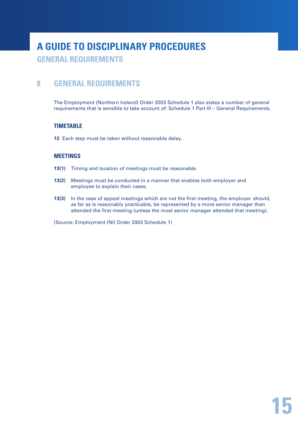**GENERAL REQUIREMENTS**

### **8 GENERAL REQUIREMENTS**

The Employment (Northern Ireland) Order 2003 Schedule 1 also states a number of general requirements that is sensible to take account of: Schedule 1 Part III – General Requirements.

#### **TIMETABLE**

**12** Each step must be taken without reasonable delay.

#### **MEETINGS**

- **13(1)** Timing and location of meetings must be reasonable.
- **13(2)** Meetings must be conducted in a manner that enables both employer and employee to explain their cases.
- **13(3)** In the case of appeal meetings which are not the first meeting, the employer should, as far as is reasonably practicable, be represented by a more senior manager than attended the first meeting (unless the most senior manager attended that meeting).

(Source: Employment (NI) Order 2003 Schedule 1)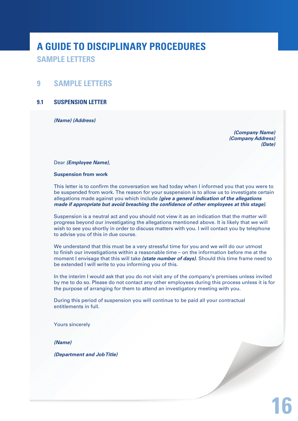**SAMPLE LETTERS**

#### **9 SAMPLE LETTERS**

#### **9.1 SUSPENSION LETTER**

*(Name) (Address)*

 *(Company Name) (Company Address) (Date)*

Dear *(Employee Name)*,

#### **Suspension from work**

This letter is to confirm the conversation we had today when I informed you that you were to be suspended from work. The reason for your suspension is to allow us to investigate certain allegations made against you which include *(give a general indication of the allegations made if appropriate but avoid breaching the confidence of other employees at this stage)*.

Suspension is a neutral act and you should not view it as an indication that the matter will progress beyond our investigating the allegations mentioned above. It is likely that we will wish to see you shortly in order to discuss matters with you. I will contact you by telephone to advise you of this in due course.

We understand that this must be a very stressful time for you and we will do our utmost to finish our investigations within a reasonable time – on the information before me at the moment I envisage that this will take *(state number of days)*. Should this time frame need to be extended I will write to you informing you of this.

In the interim I would ask that you do not visit any of the company's premises unless invited by me to do so. Please do not contact any other employees during this process unless it is for the purpose of arranging for them to attend an investigatory meeting with you.

During this period of suspension you will continue to be paid all your contractual entitlements in full.

Yours sincerely

*(Name)*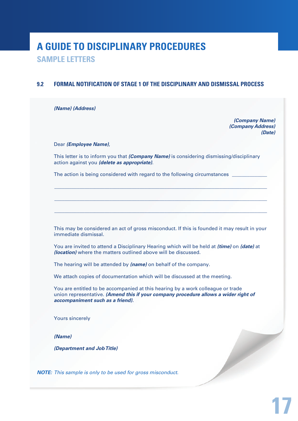**SAMPLE LETTERS**

#### **9.2 FORMAL NOTIFICATION OF STAGE 1 OF THE DISCIPLINARY AND DISMISSAL PROCESS**

*(Name) (Address)*

 *(Company Name) (Company Address) (Date)*

Dear *(Employee Name)*,

This letter is to inform you that *(Company Name)* is considering dismissing/disciplinary action against you *(delete as appropriate)*.

\_\_\_\_\_\_\_\_\_\_\_\_\_\_\_\_\_\_\_\_\_\_\_\_\_\_\_\_\_\_\_\_\_\_\_\_\_\_\_\_\_\_\_\_\_\_\_\_\_\_\_\_\_\_\_\_\_\_\_\_\_\_\_\_\_\_\_\_\_\_\_\_\_\_\_\_\_\_\_\_\_\_\_\_\_

 $\_$  ,  $\_$  ,  $\_$  ,  $\_$  ,  $\_$  ,  $\_$  ,  $\_$  ,  $\_$  ,  $\_$  ,  $\_$  ,  $\_$  ,  $\_$  ,  $\_$  ,  $\_$  ,  $\_$  ,  $\_$  ,  $\_$  ,  $\_$  ,  $\_$  ,  $\_$  ,  $\_$  ,  $\_$  ,  $\_$  ,  $\_$  ,  $\_$  ,  $\_$  ,  $\_$  ,  $\_$  ,  $\_$  ,  $\_$  ,  $\_$  ,  $\_$  ,  $\_$  ,  $\_$  ,  $\_$  ,  $\_$  ,  $\_$  ,

\_\_\_\_\_\_\_\_\_\_\_\_\_\_\_\_\_\_\_\_\_\_\_\_\_\_\_\_\_\_\_\_\_\_\_\_\_\_\_\_\_\_\_\_\_\_\_\_\_\_\_\_\_\_\_\_\_\_\_\_\_\_\_\_\_\_\_\_\_\_\_\_\_\_\_\_\_\_\_\_\_\_\_\_\_

The action is being considered with regard to the following circumstances

This may be considered an act of gross misconduct. If this is founded it may result in your immediate dismissal.

You are invited to attend a Disciplinary Hearing which will be held at *(time)* on *(date)* at *(location)* where the matters outlined above will be discussed.

The hearing will be attended by *(name)* on behalf of the company.

We attach copies of documentation which will be discussed at the meeting.

You are entitled to be accompanied at this hearing by a work colleague or trade union representative. *(Amend this if your company procedure allows a wider right of accompaniment such as a friend).*

Yours sincerely

*(Name)*

*(Department and Job Title)*

*NOTE: This sample is only to be used for gross misconduct.*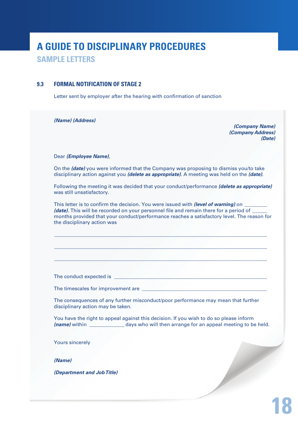**SAMPLE LETTERS**

#### **9.3 FORMAL NOTIFICATION OF STAGE 2**

Letter sent by employer after the hearing with confirmation of sanction

*(Name) (Address)*

*(Company Name) (Company Address) (Date)*

**18**

#### Dear *(Employee Name)*,

On the *(date)* you were informed that the Company was proposing to dismiss you/to take disciplinary action against you *(delete as appropriate)*. A meeting was held on the *(date)*.

Following the meeting it was decided that your conduct/performance *(delete as appropriate)* was still unsatisfactory.

This letter is to confirm the decision. You were issued with *(level of warning)* on *(date)*. This will be recorded on your personnel file and remain there for a period of months provided that your conduct/performance reaches a satisfactory level. The reason for the disciplinary action was

\_\_\_\_\_\_\_\_\_\_\_\_\_\_\_\_\_\_\_\_\_\_\_\_\_\_\_\_\_\_\_\_\_\_\_\_\_\_\_\_\_\_\_\_\_\_\_\_\_\_\_\_\_\_\_\_\_\_\_\_\_\_\_\_\_\_\_\_\_\_\_\_\_\_\_\_\_\_\_\_\_\_\_\_\_

\_\_\_\_\_\_\_\_\_\_\_\_\_\_\_\_\_\_\_\_\_\_\_\_\_\_\_\_\_\_\_\_\_\_\_\_\_\_\_\_\_\_\_\_\_\_\_\_\_\_\_\_\_\_\_\_\_\_\_\_\_\_\_\_\_\_\_\_\_\_\_\_\_\_\_\_\_\_\_\_\_\_\_\_\_

 $\_$  , and the set of the set of the set of the set of the set of the set of the set of the set of the set of the set of the set of the set of the set of the set of the set of the set of the set of the set of the set of th

The conduct expected is

The timescales for improvement are

The consequences of any further misconduct/poor performance may mean that further disciplinary action may be taken.

You have the right to appeal against this decision. If you wish to do so please inform *(name)* within \_\_\_\_\_\_\_\_\_\_\_\_\_\_ days who will then arrange for an appeal meeting to be held.

Yours sincerely

*(Name)*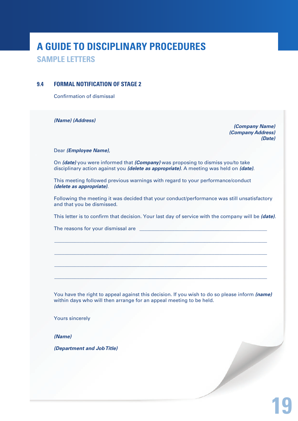**SAMPLE LETTERS**

#### **9.4 FORMAL NOTIFICATION OF STAGE 2**

Confirmation of dismissal

*(Name) (Address)*

*(Company Name) (Company Address) (Date)*

Dear *(Employee Name)*,

On *(date)* you were informed that *(Company)* was proposing to dismiss you/to take disciplinary action against you *(delete as appropriate)*. A meeting was held on *(date)*.

This meeting followed previous warnings with regard to your performance/conduct *(delete as appropriate)*.

Following the meeting it was decided that your conduct/performance was still unsatisfactory and that you be dismissed.

This letter is to confirm that decision. Your last day of service with the company will be *(date)*.

 $\_$  ,  $\_$  ,  $\_$  ,  $\_$  ,  $\_$  ,  $\_$  ,  $\_$  ,  $\_$  ,  $\_$  ,  $\_$  ,  $\_$  ,  $\_$  ,  $\_$  ,  $\_$  ,  $\_$  ,  $\_$  ,  $\_$  ,  $\_$  ,  $\_$  ,  $\_$  ,  $\_$  ,  $\_$  ,  $\_$  ,  $\_$  ,  $\_$  ,  $\_$  ,  $\_$  ,  $\_$  ,  $\_$  ,  $\_$  ,  $\_$  ,  $\_$  ,  $\_$  ,  $\_$  ,  $\_$  ,  $\_$  ,  $\_$  ,

\_\_\_\_\_\_\_\_\_\_\_\_\_\_\_\_\_\_\_\_\_\_\_\_\_\_\_\_\_\_\_\_\_\_\_\_\_\_\_\_\_\_\_\_\_\_\_\_\_\_\_\_\_\_\_\_\_\_\_\_\_\_\_\_\_\_\_\_\_\_\_\_\_\_\_\_\_\_\_\_\_\_\_\_\_

\_\_\_\_\_\_\_\_\_\_\_\_\_\_\_\_\_\_\_\_\_\_\_\_\_\_\_\_\_\_\_\_\_\_\_\_\_\_\_\_\_\_\_\_\_\_\_\_\_\_\_\_\_\_\_\_\_\_\_\_\_\_\_\_\_\_\_\_\_\_\_\_\_\_\_\_\_\_\_\_\_\_\_\_\_

\_\_\_\_\_\_\_\_\_\_\_\_\_\_\_\_\_\_\_\_\_\_\_\_\_\_\_\_\_\_\_\_\_\_\_\_\_\_\_\_\_\_\_\_\_\_\_\_\_\_\_\_\_\_\_\_\_\_\_\_\_\_\_\_\_\_\_\_\_\_\_\_\_\_\_\_\_\_\_\_\_\_\_\_\_

The reasons for your dismissal are

You have the right to appeal against this decision. If you wish to do so please inform *(name)*  within days who will then arrange for an appeal meeting to be held.

Yours sincerely

*(Name)*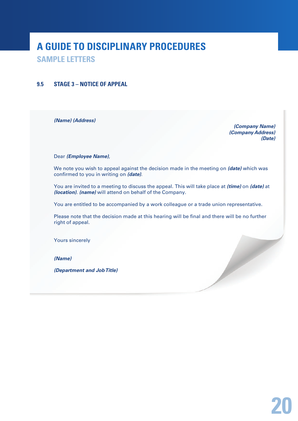**SAMPLE LETTERS**

#### **9.5 STAGE 3 – NOTICE OF APPEAL**

*(Name) (Address)*

*(Company Name) (Company Address) (Date)*

#### Dear *(Employee Name)*,

We note you wish to appeal against the decision made in the meeting on *(date)* which was confirmed to you in writing on *(date)*.

You are invited to a meeting to discuss the appeal. This will take place at *(time)* on *(date)* at *(location)*. *(name)* will attend on behalf of the Company.

You are entitled to be accompanied by a work colleague or a trade union representative.

Please note that the decision made at this hearing will be final and there will be no further right of appeal.

Yours sincerely

*(Name)*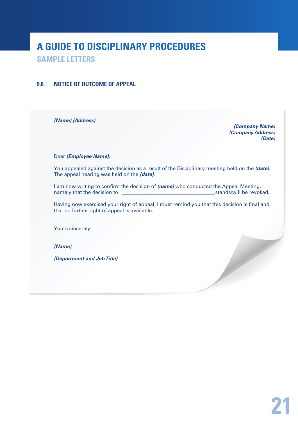**SAMPLE LETTERS**

#### **9.6 NOTICE OF OUTCOME OF APPEAL**

*(Name) (Address)*

*(Company Name) (Company Address) (Date)*

#### Dear *(Employee Name)*,

You appealed against the decision as a result of the Disciplinary meeting held on the *(date)*. The appeal hearing was held on the *(date)*.

I am now writing to confirm the decision of *(name)* who conducted the Appeal Meeting, namely that the decision to \_\_\_\_\_\_\_\_\_\_\_\_\_\_\_\_\_\_\_\_\_\_\_\_\_\_\_\_\_\_\_\_\_\_\_\_\_ stands/will be revoked.

Having now exercised your right of appeal, I must remind you that this decision is final and that no further right of appeal is available.

Yours sincerely

*(Name)*